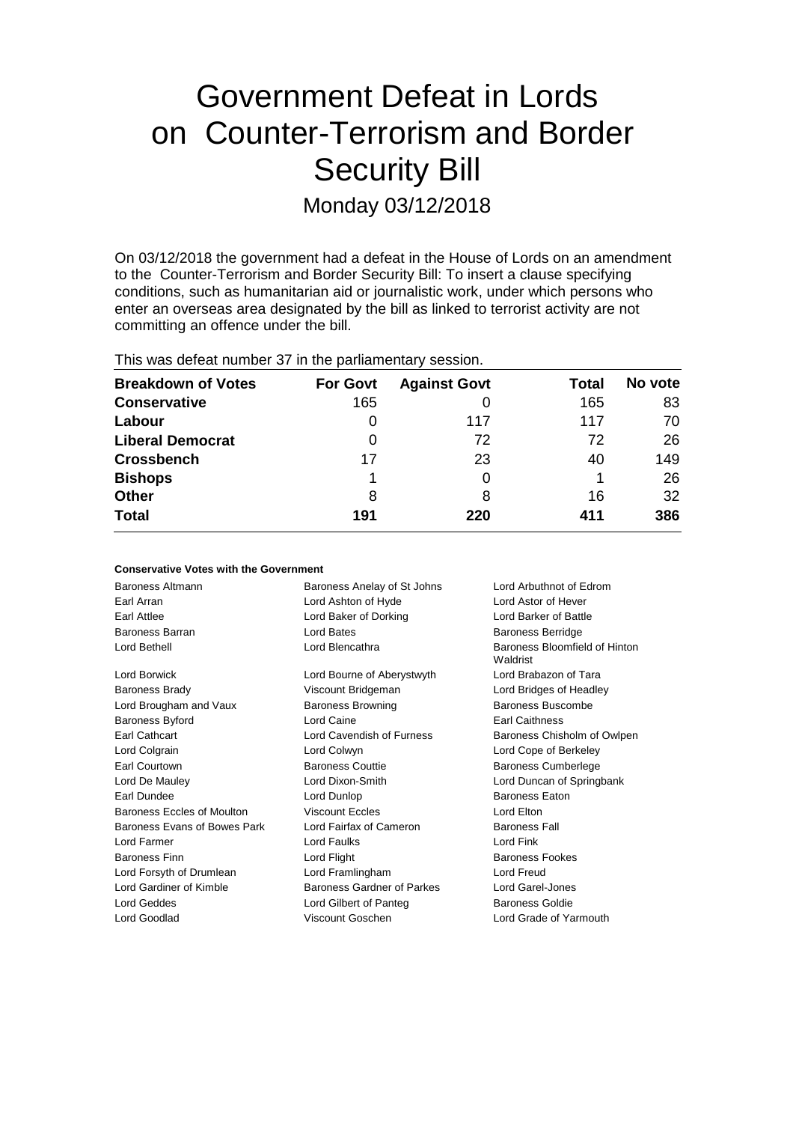# Government Defeat in Lords on Counter-Terrorism and Border Security Bill Monday 03/12/2018

On 03/12/2018 the government had a defeat in the House of Lords on an amendment to the Counter-Terrorism and Border Security Bill: To insert a clause specifying conditions, such as humanitarian aid or journalistic work, under which persons who enter an overseas area designated by the bill as linked to terrorist activity are not committing an offence under the bill.

| This was defeat number 37 in the parliamentary session. |                 |                     |       |         |  |
|---------------------------------------------------------|-----------------|---------------------|-------|---------|--|
| <b>Breakdown of Votes</b>                               | <b>For Govt</b> | <b>Against Govt</b> | Total | No vote |  |
| <b>Conservative</b>                                     | 165             |                     | 165   | 83      |  |
| Labour                                                  | 0               | 117                 | 117   | 70      |  |
| <b>Liberal Democrat</b>                                 | 0               | 72                  | 72    | 26      |  |
| <b>Crossbench</b>                                       | 17              | 23                  | 40    | 149     |  |
| <b>Bishops</b>                                          |                 |                     |       | 26      |  |
| Other                                                   | 8               |                     | 16    | 32      |  |
| Total                                                   | 191             | 220                 | 411   | 386     |  |

**No vote**

32 **386**

| <b>Conservative Votes with the Government</b> |                             |                                           |  |  |  |
|-----------------------------------------------|-----------------------------|-------------------------------------------|--|--|--|
| Baroness Altmann                              | Baroness Anelay of St Johns | Lord Arbuthnot of Edrom                   |  |  |  |
| Earl Arran                                    | Lord Ashton of Hyde         | Lord Astor of Hever                       |  |  |  |
| Earl Attlee                                   | Lord Baker of Dorking       | Lord Barker of Battle                     |  |  |  |
| <b>Baroness Barran</b>                        | Lord Bates                  | <b>Baroness Berridge</b>                  |  |  |  |
| Lord Bethell                                  | Lord Blencathra             | Baroness Bloomfield of Hinton<br>Waldrist |  |  |  |
| Lord Borwick                                  | Lord Bourne of Aberystwyth  | Lord Brabazon of Tara                     |  |  |  |
| <b>Baroness Brady</b>                         | Viscount Bridgeman          | Lord Bridges of Headley                   |  |  |  |
| Lord Brougham and Vaux                        | <b>Baroness Browning</b>    | Baroness Buscombe                         |  |  |  |
| Baroness Byford                               | Lord Caine                  | <b>Earl Caithness</b>                     |  |  |  |
| Earl Cathcart                                 | Lord Cavendish of Furness   | Baroness Chisholm of Owlpen               |  |  |  |
| Lord Colgrain                                 | Lord Colwyn                 | Lord Cope of Berkeley                     |  |  |  |
| <b>Earl Courtown</b>                          | <b>Baroness Couttie</b>     | <b>Baroness Cumberlege</b>                |  |  |  |
| Lord De Mauley                                | Lord Dixon-Smith            | Lord Duncan of Springbank                 |  |  |  |
| Earl Dundee                                   | Lord Dunlop                 | <b>Baroness Eaton</b>                     |  |  |  |
| Baroness Eccles of Moulton                    | <b>Viscount Eccles</b>      | Lord Elton                                |  |  |  |
| Baroness Evans of Bowes Park                  | Lord Fairfax of Cameron     | <b>Baroness Fall</b>                      |  |  |  |
| Lord Farmer                                   | Lord Faulks                 | Lord Fink                                 |  |  |  |
| <b>Baroness Finn</b>                          | Lord Flight                 | <b>Baroness Fookes</b>                    |  |  |  |
| Lord Forsyth of Drumlean                      | Lord Framlingham            | Lord Freud                                |  |  |  |
| Lord Gardiner of Kimble                       | Baroness Gardner of Parkes  | <b>Lord Garel-Jones</b>                   |  |  |  |
| <b>Lord Geddes</b>                            | Lord Gilbert of Panteg      | <b>Baroness Goldie</b>                    |  |  |  |
| Lord Goodlad                                  | Viscount Goschen            | Lord Grade of Yarmouth                    |  |  |  |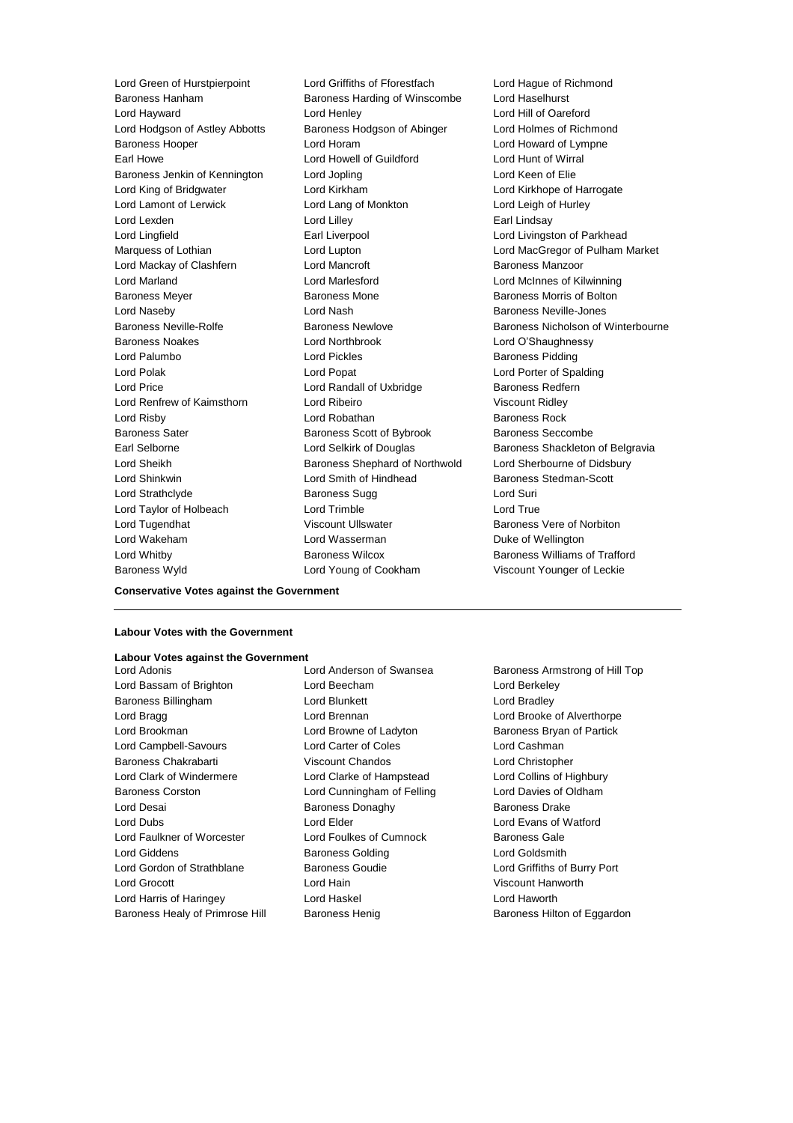Baroness Hanham Baroness Harding of Winscombe Lord Hayward Lord Henley Lord Hill of Oareford Lord Hodgson of Astley Abbotts Baroness Hodgson of Abinger Lord Holmes of Richmond Baroness Hooper Lord Horam Lord Howard of Lympne Earl Howe Lord Howell of Guildford Lord Hunt of Wirral Baroness Jenkin of Kennington Lord Jopling Lord Keen of Elie Lord King of Bridgwater Lord Kirkham Lord Kirkhope of Harrogate Lord Lamont of Lerwick Lord Lang of Monkton Lord Leigh of Hurley Lord Lexden **Lord Lindsay** Lord Lilley **Communication** Lord Lilley **Earl Lindsay** Lord Lingfield **Earl Liverpool** Earl Liverpool **Lord Livingston of Parkhead** Lord Mackay of Clashfern Lord Mancroft Baroness Manzoor Lord Marland Lord Marlesford Lord McInnes of Kilwinning Baroness Meyer **Baroness Mone** Baroness Mone **Baroness Mone** Baroness Morris of Bolton Lord Naseby Lord Nash Baroness Neville-Jones Baroness Noakes Lord Northbrook Lord O'Shaughnessy Lord Palumbo **Lord Pickles** Lord Pickles **Baroness Pidding** Lord Polak Lord Popat Lord Porter of Spalding Lord Price **Lord Randall of Uxbridge Baroness Redfern** Lord Renfrew of Kaimsthorn Lord Ribeiro Viscount Ridley Lord Risby **Lord Robathan** Baroness Rock Baroness Sater **Baroness Scott of Bybrook** Baroness Seccombe Earl Selborne **Lord Selkirk of Douglas** Baroness Shackleton of Belgravia Lord Sheikh Baroness Shephard of Northwold Lord Sherbourne of Didsbury Lord Shinkwin **Lord Smith of Hindhead** Baroness Stedman-Scott Lord Strathclyde **Baroness Sugg Lord Suri** Lord Taylor of Holbeach Lord Trimble Lord True Lord Tugendhat **Night Collect Controlly Controlly** Viscount Ullswater **Baroness Vere of Norbiton** Lord Wakeham Lord Wasserman Duke of Wellington Lord Whitby Baroness Wilcox Baroness Williams of Trafford Baroness Wyld Lord Young of Cookham Viscount Younger of Leckie

Lord Green of Hurstpierpoint Lord Griffiths of Fforestfach Lord Hague of Richmond<br>
Baroness Hannam Baroness Harding of Winscombe Lord Haselhurst

Marquess of Lothian Lord Lupton Lord MacGregor of Pulham Market Baroness Neville-Rolfe **Baroness Newlove** Baroness Newlove Baroness Nicholson of Winterbourne

**Conservative Votes against the Government**

#### **Labour Votes with the Government**

### **Labour Votes against the Government**

Lord Bassam of Brighton Lord Beecham Lord Berkeley Baroness Billingham **Lord Blunkett** Lord Bradley Lord Bragg **Lord Brennan** Lord Brooke of Alverthorpe **Lord Brooke** of Alverthorpe Lord Brookman **Lord Browne of Ladyton** Baroness Bryan of Partick Lord Campbell-Savours Lord Carter of Coles Lord Cashman Baroness Chakrabarti Viscount Chandos Lord Christopher Lord Clark of Windermere Lord Clarke of Hampstead Lord Collins of Highbury Baroness Corston Lord Cunningham of Felling Lord Davies of Oldham Lord Desai **Baroness Donaghy** Baroness Donaghy Baroness Drake Lord Dubs Lord Elder Lord Evans of Watford Lord Faulkner of Worcester Lord Foulkes of Cumnock Baroness Gale Lord Giddens **Baroness Golding Community** Lord Goldsmith Lord Gordon of Strathblane Baroness Goudie Lord Griffiths of Burry Port Lord Grocott Lord Hain Viscount Hanworth Lord Harris of Haringey Lord Haskel Lord Haworth

Lord Adonis Lord Anderson of Swansea Baroness Armstrong of Hill Top

Baroness Healy of Primrose Hill Baroness Henig Baroness Henig Baroness Hilton of Eggardon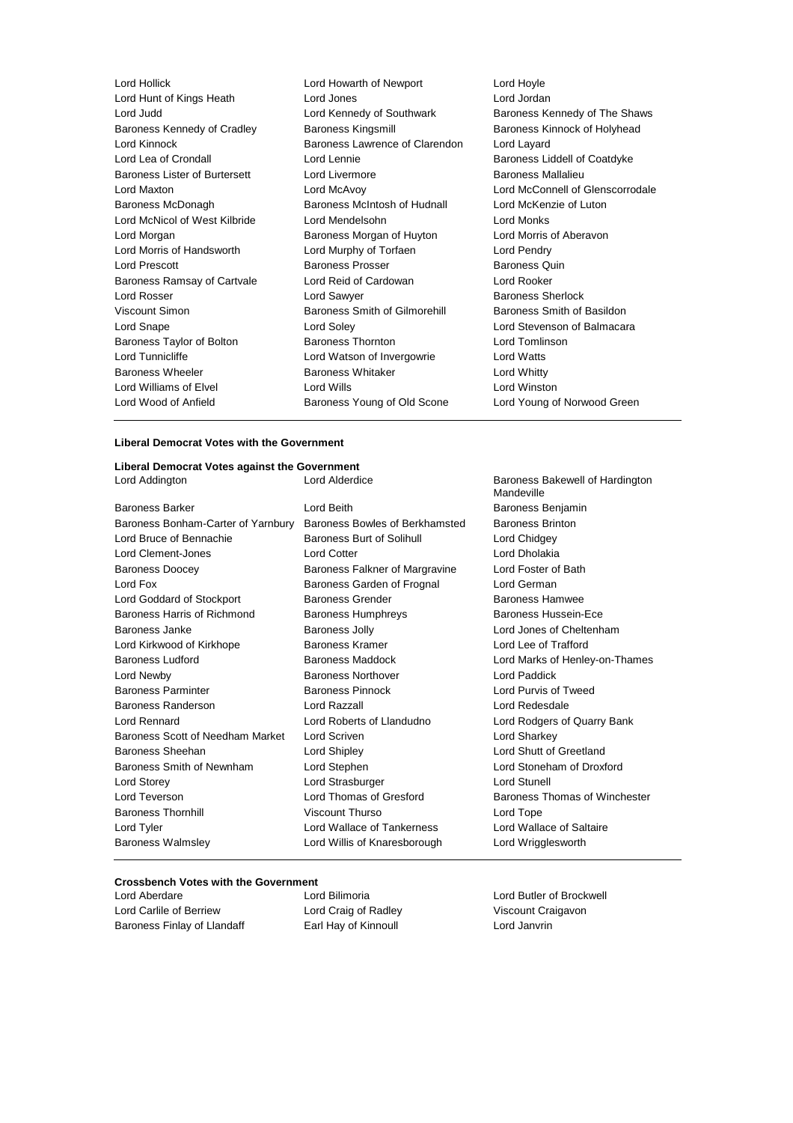| Lord Hollick                         | Lord Howarth of Newport        | Lord Hoyle                       |
|--------------------------------------|--------------------------------|----------------------------------|
| Lord Hunt of Kings Heath             | Lord Jones                     | Lord Jordan                      |
| Lord Judd                            | Lord Kennedy of Southwark      | Baroness Kennedy of The Shaws    |
| Baroness Kennedy of Cradley          | <b>Baroness Kingsmill</b>      | Baroness Kinnock of Holyhead     |
| Lord Kinnock                         | Baroness Lawrence of Clarendon | Lord Layard                      |
| Lord Lea of Crondall                 | Lord Lennie                    | Baroness Liddell of Coatdyke     |
| <b>Baroness Lister of Burtersett</b> | Lord Livermore                 | <b>Baroness Mallalieu</b>        |
| Lord Maxton                          | Lord McAvoy                    | Lord McConnell of Glenscorrodale |
| Baroness McDonagh                    | Baroness McIntosh of Hudnall   | Lord McKenzie of Luton           |
| Lord McNicol of West Kilbride        | Lord Mendelsohn                | Lord Monks                       |
| Lord Morgan                          | Baroness Morgan of Huyton      | Lord Morris of Aberavon          |
| Lord Morris of Handsworth            | Lord Murphy of Torfaen         | Lord Pendry                      |
| <b>Lord Prescott</b>                 | <b>Baroness Prosser</b>        | Baroness Quin                    |
| Baroness Ramsay of Cartvale          | Lord Reid of Cardowan          | Lord Rooker                      |
| Lord Rosser                          | Lord Sawyer                    | <b>Baroness Sherlock</b>         |
| Viscount Simon                       | Baroness Smith of Gilmorehill  | Baroness Smith of Basildon       |
| Lord Snape                           | Lord Soley                     | Lord Stevenson of Balmacara      |
| Baroness Taylor of Bolton            | <b>Baroness Thornton</b>       | Lord Tomlinson                   |
| Lord Tunnicliffe                     | Lord Watson of Invergowrie     | Lord Watts                       |
| <b>Baroness Wheeler</b>              | <b>Baroness Whitaker</b>       | Lord Whitty                      |
| Lord Williams of Elvel               | Lord Wills                     | Lord Winston                     |
| Lord Wood of Anfield                 | Baroness Young of Old Scone    | Lord Young of Norwood Green      |
|                                      |                                |                                  |

#### **Liberal Democrat Votes with the Government**

### **Liberal Democrat Votes against the Government**

| <b>Baroness Barker</b>                  | Lord |
|-----------------------------------------|------|
| Baroness Bonham-Carter of Yarnbury Bard |      |
| Lord Bruce of Bennachie                 | Barc |
| Lord Clement-Jones                      | Lord |
| <b>Baroness Doocey</b>                  | Barc |
| Lord Fox                                | Baro |
| Lord Goddard of Stockport               | Baro |
| Baroness Harris of Richmond             | Baro |
| Baroness Janke                          | Baro |
| Lord Kirkwood of Kirkhope               | Barc |
| <b>Baroness Ludford</b>                 | Barc |
| Lord Newby                              | Barc |
| <b>Baroness Parminter</b>               | Barc |
| <b>Baroness Randerson</b>               | Lord |
| Lord Rennard                            | Lord |
| Baroness Scott of Needham Market        | Lord |
| Baroness Sheehan                        | Lord |
| Baroness Smith of Newnham               | Lord |
| Lord Storey                             | Lord |
| Lord Teverson                           | Lord |
| <b>Baroness Thornhill</b>               | Visc |
| Lord Tyler                              | Lord |
| <b>Baroness Walmsley</b>                | Lord |
|                                         |      |

Mandeville Beith **Barcher Lord Baroness Benjamin** oness Bowles of Berkhamsted Baroness Brinton **DREAD BRUCE SOLIGNAL BRUCE SOLIGNATION** Lord Chidgey Cotter Lord Dholakia baroness Falkner of Margravine Lord Foster of Bath oness Garden of Frognal Lord German oness Grender **Baroness Hamwee Baroness Humphreys** Baroness Hussein-Ece and Baroness Jolly **Baroness Jolly** Lord Jones of Cheltenham oness Kramer **Lord Lee of Trafford** Duess Maddock **Example 2** Lord Marks of Henley-on-Thames **Divides Northover Constanting Lord Paddick** and Baroness Pinnock **Lord Purvis of Tweed** Razzall **Randerson Lord Redesdale** Roberts of Llandudno Lord Rodgers of Quarry Bank Scriven **Market Lord Sharkey** Shipley **Caroness Sheetland** Lord Shutt of Greetland Stephen Lord Stoneham of Droxford Strasburger **Lord Stunell** Thomas of Gresford Baroness Thomas of Winchester Baroness Thurso Lord Tope Wallace of Tankerness Lord Wallace of Saltaire Willis of Knaresborough Lord Wrigglesworth

## **Crossbench Votes with the Government**

Lord Carlile of Berriew Lord Craig of Radley Viscount Craigavon Baroness Finlay of Llandaff **Earl Hay of Kinnoull** Lord Janvrin

Lord Butler of Brockwell

Baroness Bakewell of Hardington